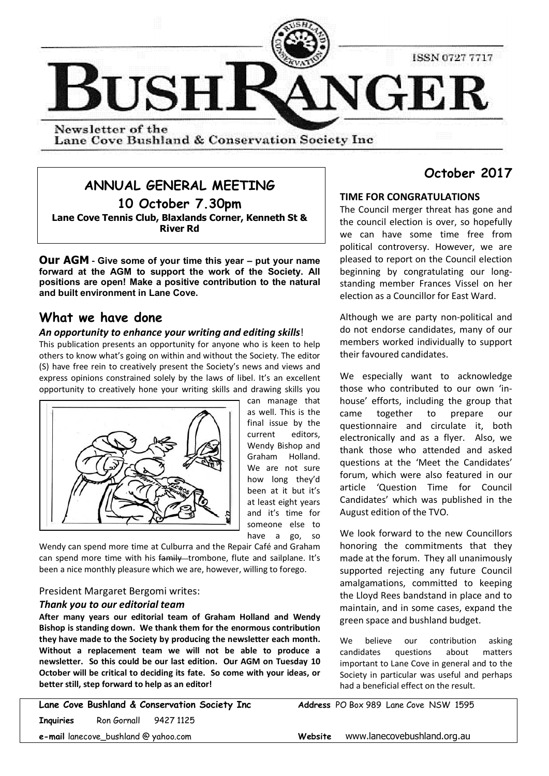

Lane Cove Bushland & Conservation Society Inc

## **ANNUAL GENERAL MEETING**

**10 October 7.30pm Lane Cove Tennis Club, Blaxlands Corner, Kenneth St & River Rd**

**Our AGM - Give some of your time this year – put your name forward at the AGM to support the work of the Society. All positions are open! Make a positive contribution to the natural and built environment in Lane Cove.**

## **What we have done**

#### *An opportunity to enhance your writing and editing skills*!

This publication presents an opportunity for anyone who is keen to help others to know what's going on within and without the Society. The editor (S) have free rein to creatively present the Society's news and views and express opinions constrained solely by the laws of libel. It's an excellent opportunity to creatively hone your writing skills and drawing skills you



can manage that as well. This is the final issue by the current editors, Wendy Bishop and Graham Holland. We are not sure how long they'd been at it but it's at least eight years and it's time for someone else to have a go, so

Wendy can spend more time at Culburra and the Repair Café and Graham can spend more time with his family trombone, flute and sailplane. It's been a nice monthly pleasure which we are, however, willing to forego.

#### President Margaret Bergomi writes:

#### *Thank you to our editorial team*

**After many years our editorial team of Graham Holland and Wendy Bishop is standing down. We thank them for the enormous contribution they have made to the Society by producing the newsletter each month. Without a replacement team we will not be able to produce a newsletter. So this could be our last edition. Our AGM on Tuesday 10 October will be critical to deciding its fate. So come with your ideas, or better still, step forward to help as an editor!**

|                                      |                                        | Lane Cove Bushland & Conservation Society Inc |  |  |
|--------------------------------------|----------------------------------------|-----------------------------------------------|--|--|
|                                      | <b>Inquiries</b> Ron Gornall 9427 1125 |                                               |  |  |
| e-mail lanecove_bushland @ yahoo.com |                                        |                                               |  |  |

# **October 2017**

## **TIME FOR CONGRATULATIONS**

The Council merger threat has gone and the council election is over, so hopefully we can have some time free from political controversy. However, we are pleased to report on the Council election beginning by congratulating our longstanding member Frances Vissel on her election as a Councillor for East Ward.

Although we are party non-political and do not endorse candidates, many of our members worked individually to support their favoured candidates.

We especially want to acknowledge those who contributed to our own 'inhouse' efforts, including the group that came together to prepare our questionnaire and circulate it, both electronically and as a flyer. Also, we thank those who attended and asked questions at the 'Meet the Candidates' forum, which were also featured in our article 'Question Time for Council Candidates' which was published in the August edition of the TVO.

We look forward to the new Councillors honoring the commitments that they made at the forum. They all unanimously supported rejecting any future Council amalgamations, committed to keeping the Lloyd Rees bandstand in place and to maintain, and in some cases, expand the green space and bushland budget.

We believe our contribution asking candidates questions about matters important to Lane Cove in general and to the Society in particular was useful and perhaps had a beneficial effect on the result.

Address PO Box 989 Lane Cove NSW 1595

**Website** www.lanecovebushland.org.au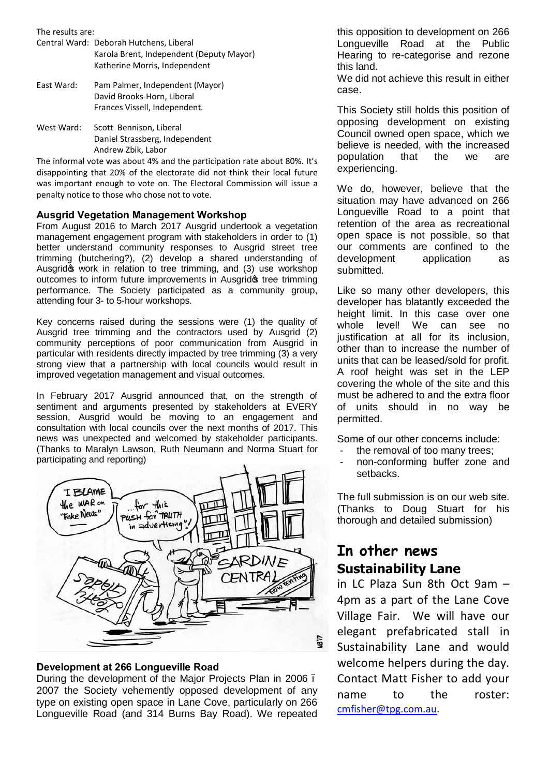| The results are: |                                          |  |  |
|------------------|------------------------------------------|--|--|
|                  | Central Ward: Deborah Hutchens, Liberal  |  |  |
|                  | Karola Brent, Independent (Deputy Mayor) |  |  |
|                  | Katherine Morris, Independent            |  |  |
| East Ward:       | Pam Palmer, Independent (Mayor)          |  |  |
|                  | David Brooks-Horn, Liberal               |  |  |
|                  | Frances Vissell, Independent.            |  |  |

West Ward: Scott Bennison, Liberal Daniel Strassberg, Independent Andrew Zbik, Labor

The informal vote was about 4% and the participation rate about 80%. It's disappointing that 20% of the electorate did not think their local future was important enough to vote on. The Electoral Commission will issue a penalty notice to those who chose not to vote.

#### **Ausgrid Vegetation Management Workshop**

From August 2016 to March 2017 Ausgrid undertook a vegetation management engagement program with stakeholders in order to (1) better understand community responses to Ausgrid street tree trimming (butchering?), (2) develop a shared understanding of Ausgridgs work in relation to tree trimming, and (3) use workshop outcomes to inform future improvements in Ausgridos tree trimming performance. The Society participated as a community group, attending four 3- to 5-hour workshops.

Key concerns raised during the sessions were (1) the quality of Ausgrid tree trimming and the contractors used by Ausgrid (2) community perceptions of poor communication from Ausgrid in particular with residents directly impacted by tree trimming (3) a very strong view that a partnership with local councils would result in improved vegetation management and visual outcomes.

In February 2017 Ausgrid announced that, on the strength of sentiment and arguments presented by stakeholders at EVERY session, Ausgrid would be moving to an engagement and consultation with local councils over the next months of 2017. This news was unexpected and welcomed by stakeholder participants. (Thanks to Maralyn Lawson, Ruth Neumann and Norma Stuart for participating and reporting)  $\mathbf{v}$ 



#### **Development at 266 Longueville Road**

During the development of the Major Projects Plan in 2006 – 2007 the Society vehemently opposed development of any type on existing open space in Lane Cove, particularly on 266 Longueville Road (and 314 Burns Bay Road). We repeated

this opposition to development on 266 Longueville Road at the Public Hearing to re-categorise and rezone this land.

We did not achieve this result in either case.

This Society still holds this position of opposing development on existing Council owned open space, which we believe is needed, with the increased population that the we are experiencing.

We do, however, believe that the situation may have advanced on 266 Longueville Road to a point that retention of the area as recreational open space is not possible, so that our comments are confined to the development application as submitted.

Like so many other developers, this developer has blatantly exceeded the height limit. In this case over one whole level! We can see no justification at all for its inclusion, other than to increase the number of units that can be leased/sold for profit. A roof height was set in the LEP covering the whole of the site and this must be adhered to and the extra floor of units should in no way be permitted.

Some of our other concerns include:

- the removal of too many trees:
- non-conforming buffer zone and setbacks.

The full submission is on our web site. (Thanks to Doug Stuart for his thorough and detailed submission)

# **In other news Sustainability Lane**

in LC Plaza Sun 8th Oct 9am – 4pm as a part of the Lane Cove Village Fair. We will have our elegant prefabricated stall in Sustainability Lane and would welcome helpers during the day. Contact Matt Fisher to add your name to the roster: cmfisher@tpg.com.au.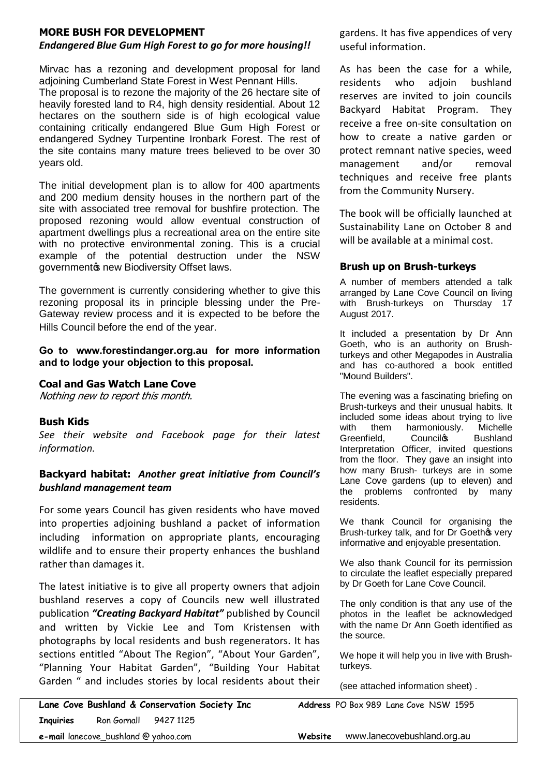## **MORE BUSH FOR DEVELOPMENT**

## *Endangered Blue Gum High Forest to go for more housing!!*

Mirvac has a rezoning and development proposal for land adjoining Cumberland State Forest in West Pennant Hills.

The proposal is to rezone the majority of the 26 hectare site of heavily forested land to R4, high density residential. About 12 hectares on the southern side is of high ecological value containing critically endangered Blue Gum High Forest or endangered Sydney Turpentine Ironbark Forest. The rest of the site contains many mature trees believed to be over 30 years old.

The initial development plan is to allow for 400 apartments and 200 medium density houses in the northern part of the site with associated tree removal for bushfire protection. The proposed rezoning would allow eventual construction of apartment dwellings plus a recreational area on the entire site with no protective environmental zoning. This is a crucial example of the potential destruction under the NSW governmentos new Biodiversity Offset laws.

The government is currently considering whether to give this rezoning proposal its in principle blessing under the Pre-Gateway review process and it is expected to be before the Hills Council before the end of the year.

**Go to www.forestindanger.org.au for more information and to lodge your objection to this proposal.**

## **Coal and Gas Watch Lane Cove**

Nothing new to report this month.

#### **Bush Kids**

*See their website and Facebook page for their latest information.*

## **Backyard habitat:** *Another great initiative from Council's bushland management team*

For some years Council has given residents who have moved into properties adjoining bushland a packet of information including information on appropriate plants, encouraging wildlife and to ensure their property enhances the bushland rather than damages it.

The latest initiative is to give all property owners that adjoin bushland reserves a copy of Councils new well illustrated publication *"Creating Backyard Habitat"* published by Council and written by Vickie Lee and Tom Kristensen with photographs by local residents and bush regenerators. It has sections entitled "About The Region", "About Your Garden", "Planning Your Habitat Garden", "Building Your Habitat Garden " and includes stories by local residents about their

gardens. It has five appendices of very useful information.

As has been the case for a while, residents who adjoin bushland reserves are invited to join councils Backyard Habitat Program. They receive a free on-site consultation on how to create a native garden or protect remnant native species, weed management and/or removal techniques and receive free plants from the Community Nursery.

The book will be officially launched at Sustainability Lane on October 8 and will be available at a minimal cost.

### **Brush up on Brush-turkeys**

A number of members attended a talk arranged by Lane Cove Council on living with Brush-turkeys on Thursday 17 August 2017.

It included a presentation by Dr Ann Goeth, who is an authority on Brushturkeys and other Megapodes in Australia and has co-authored a book entitled "Mound Builders".

The evening was a fascinating briefing on Brush-turkeys and their unusual habits. It included some ideas about trying to live with them harmoniously. Michelle Greenfield, Council<sup>g</sup> Bushland Interpretation Officer, invited questions from the floor. They gave an insight into how many Brush- turkeys are in some Lane Cove gardens (up to eleven) and the problems confronted by many residents.

We thank Council for organising the Brush-turkey talk, and for Dr Goethos very informative and enjoyable presentation.

We also thank Council for its permission to circulate the leaflet especially prepared by Dr Goeth for Lane Cove Council.

The only condition is that any use of the photos in the leaflet be acknowledged with the name Dr Ann Goeth identified as the source.

We hope it will help you in live with Brushturkeys.

(see attached information sheet) .

**Lane Cove Bushland & Conservation Society Inc Address** PO Box 989 Lane Cove NSW 1595 **Inquiries** Ron Gornall 9427 1125 **e-mail** lanecove\_bushland @ yahoo.com **Website** www.lanecovebushland.org.au